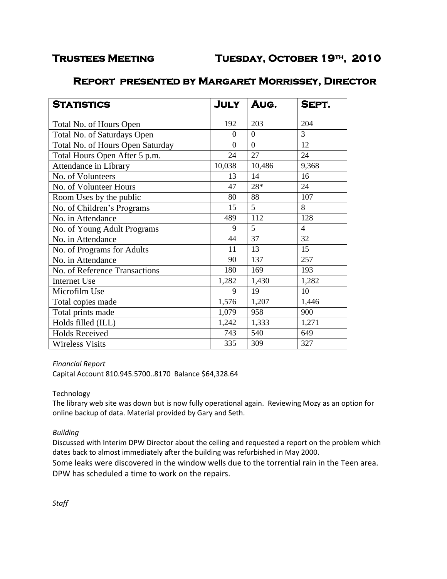# **Report presented by Margaret Morrissey, Director**

| <b>STATISTICS</b>                | <b>JULY</b>    | AUG.           | SEPT.          |
|----------------------------------|----------------|----------------|----------------|
| Total No. of Hours Open          | 192            | 203            | 204            |
| Total No. of Saturdays Open      | $\theta$       | $\overline{0}$ | $\overline{3}$ |
| Total No. of Hours Open Saturday | $\overline{0}$ | $\overline{0}$ | 12             |
| Total Hours Open After 5 p.m.    | 24             | 27             | 24             |
| Attendance in Library            | 10,038         | 10,486         | 9,368          |
| No. of Volunteers                | 13             | 14             | 16             |
| No. of Volunteer Hours           | 47             | 28*            | 24             |
| Room Uses by the public          | 80             | 88             | 107            |
| No. of Children's Programs       | 15             | 5              | 8              |
| No. in Attendance                | 489            | 112            | 128            |
| No. of Young Adult Programs      | 9              | 5              | $\overline{4}$ |
| No. in Attendance                | 44             | 37             | 32             |
| No. of Programs for Adults       | 11             | 13             | 15             |
| No. in Attendance                | 90             | 137            | 257            |
| No. of Reference Transactions    | 180            | 169            | 193            |
| <b>Internet Use</b>              | 1,282          | 1,430          | 1,282          |
| Microfilm Use                    | 9              | 19             | 10             |
| Total copies made                | 1,576          | 1,207          | 1,446          |
| Total prints made                | 1,079          | 958            | 900            |
| Holds filled (ILL)               | 1,242          | 1,333          | 1,271          |
| <b>Holds Received</b>            | 743            | 540            | 649            |
| <b>Wireless Visits</b>           | 335            | 309            | 327            |

# *Financial Report*

Capital Account 810.945.5700..8170 Balance \$64,328.64

# Technology

The library web site was down but is now fully operational again. Reviewing Mozy as an option for online backup of data. Material provided by Gary and Seth.

# *Building*

Discussed with Interim DPW Director about the ceiling and requested a report on the problem which dates back to almost immediately after the building was refurbished in May 2000.

Some leaks were discovered in the window wells due to the torrential rain in the Teen area. DPW has scheduled a time to work on the repairs.

*Staff*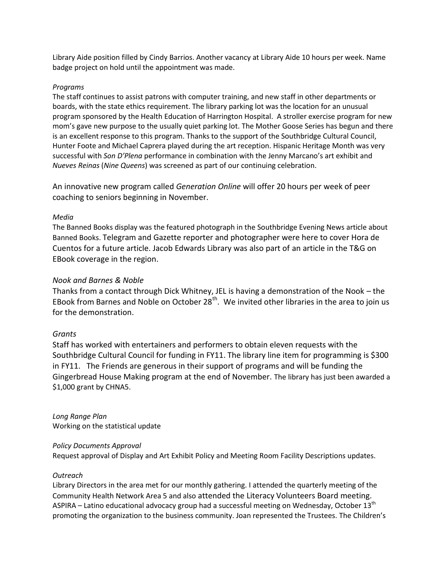Library Aide position filled by Cindy Barrios. Another vacancy at Library Aide 10 hours per week. Name badge project on hold until the appointment was made.

# *Programs*

The staff continues to assist patrons with computer training, and new staff in other departments or boards, with the state ethics requirement. The library parking lot was the location for an unusual program sponsored by the Health Education of Harrington Hospital. A stroller exercise program for new mom's gave new purpose to the usually quiet parking lot. The Mother Goose Series has begun and there is an excellent response to this program. Thanks to the support of the Southbridge Cultural Council, Hunter Foote and Michael Caprera played during the art reception. Hispanic Heritage Month was very successful with *Son D'Plena* performance in combination with the Jenny Marcano's art exhibit and *Nueves Reinas* (*Nine Queens*) was screened as part of our continuing celebration.

An innovative new program called *Generation Online* will offer 20 hours per week of peer coaching to seniors beginning in November.

# *Media*

The Banned Books display was the featured photograph in the Southbridge Evening News article about Banned Books. Telegram and Gazette reporter and photographer were here to cover Hora de Cuentos for a future article. Jacob Edwards Library was also part of an article in the T&G on EBook coverage in the region.

# *Nook and Barnes & Noble*

Thanks from a contact through Dick Whitney, JEL is having a demonstration of the Nook – the EBook from Barnes and Noble on October  $28<sup>th</sup>$ . We invited other libraries in the area to join us for the demonstration.

#### *Grants*

Staff has worked with entertainers and performers to obtain eleven requests with the Southbridge Cultural Council for funding in FY11. The library line item for programming is \$300 in FY11. The Friends are generous in their support of programs and will be funding the Gingerbread House Making program at the end of November. The library has just been awarded a \$1,000 grant by CHNA5.

*Long Range Plan* Working on the statistical update

#### *Policy Documents Approval*

Request approval of Display and Art Exhibit Policy and Meeting Room Facility Descriptions updates.

#### *Outreach*

Library Directors in the area met for our monthly gathering. I attended the quarterly meeting of the Community Health Network Area 5 and also attended the Literacy Volunteers Board meeting. ASPIRA – Latino educational advocacy group had a successful meeting on Wednesday, October  $13<sup>th</sup>$ promoting the organization to the business community. Joan represented the Trustees. The Children's